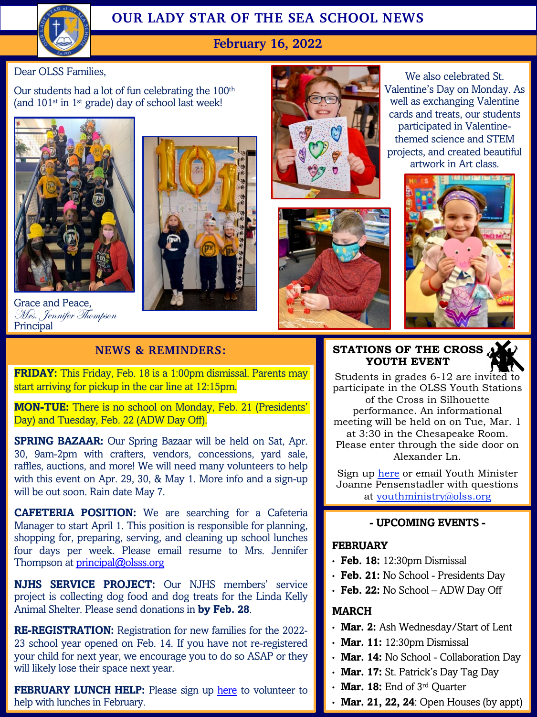

# **OUR LADY STAR OF THE SEA SCHOOL NEWS**

## **February 16, 2022**

Dear OLSS Families,

Our students had a lot of fun celebrating the 100th (and 101st in 1st grade) day of school last week!



Grace and Peace, Mrs. Jennifer Thompson Principal







We also celebrated St. Valentine's Day on Monday. As well as exchanging Valentine cards and treats, our students participated in Valentinethemed science and STEM projects, and created beautiful artwork in Art class.



### **STATIONS OF THE CROSS YOUTH EVENT**

Students in grades 6-12 are invited to participate in the OLSS Youth Stations of [the C](https://www.olssyouth.org/stations-of-the-cross.html)ross in Silhouette performance. An informational meeting [will be held on on Tue, M](mailto:youthministry@olss.org)ar. 1 at 3:30 in the Chesapeake Room. Please enter through the side door on Alexander Ln.

Sign up here or email Youth Minister Joanne Pensenstadler with questions at youthministry@olss.org

#### **- UPCOMING EVENTS -**

#### **FEBRUARY**

- **Feb. 18:** 12:30pm Dismissal
- **Feb. 21:** No School Presidents Day
- **Feb. 22:** No School ADW Day Off

#### **MARCH**

- **Mar. 2:** Ash Wednesday/Start of Lent
- **Mar. 11:** 12:30pm Dismissal
- **Mar. 14:** No School Collaboration Day
- **Mar. 17:** St. Patrick's Day Tag Day
- **Mar. 18:** End of 3rd Quarter
- **Mar. 21, 22, 24**: Open Houses (by appt)

### **NEWS & REMINDERS:**

**FRIDAY:** This Friday, Feb. 18 is a 1:00pm dismissal. Parents may start arriving for pickup in the car line at 12:15pm.

**MON-TUE:** There is no school on Monday, Feb. 21 (Presidents' Day) and Tuesday, Feb. 22 (ADW Day Off).

**SPRING BAZAAR:** Our Spring Bazaar will be held on Sat, Apr. 30, 9am-2pm with crafters, vendors, concessions, yard sale, raffles, auctions, and more! We will need many volunteers to help with this event on Apr. 29, 30, & May 1. More info and a sign-up will be out soon. [Rain](mailto:principal@olsss.org) date May 7.

**CAFETERIA POSITION:** We are searching for a Cafeteria Manager to start April 1. This position is responsible for planning, shopping for, preparing, serving, and cleaning up school lunches four days per week. Please email resume to Mrs. Jennifer Thompson at principal@olsss.org

**NJHS SERVICE PROJECT:** Our NJHS members' service project is collecting dog food and dog treats for the Linda Kelly Animal Shelter. Please send donations in **by [Feb.](https://www.signupgenius.com/go/20f0f4ca4ac2ba4f94-olss24) 28**.

**RE-REGISTRATION:** Registration for new families for the 2022- 23 school year opened on Feb. 14. If you have not re-registered your child for next year, we encourage you to do so ASAP or they will likely lose their space next year.

**FEBRUARY LUNCH HELP:** Please sign up here to volunteer to help with lunches in February.